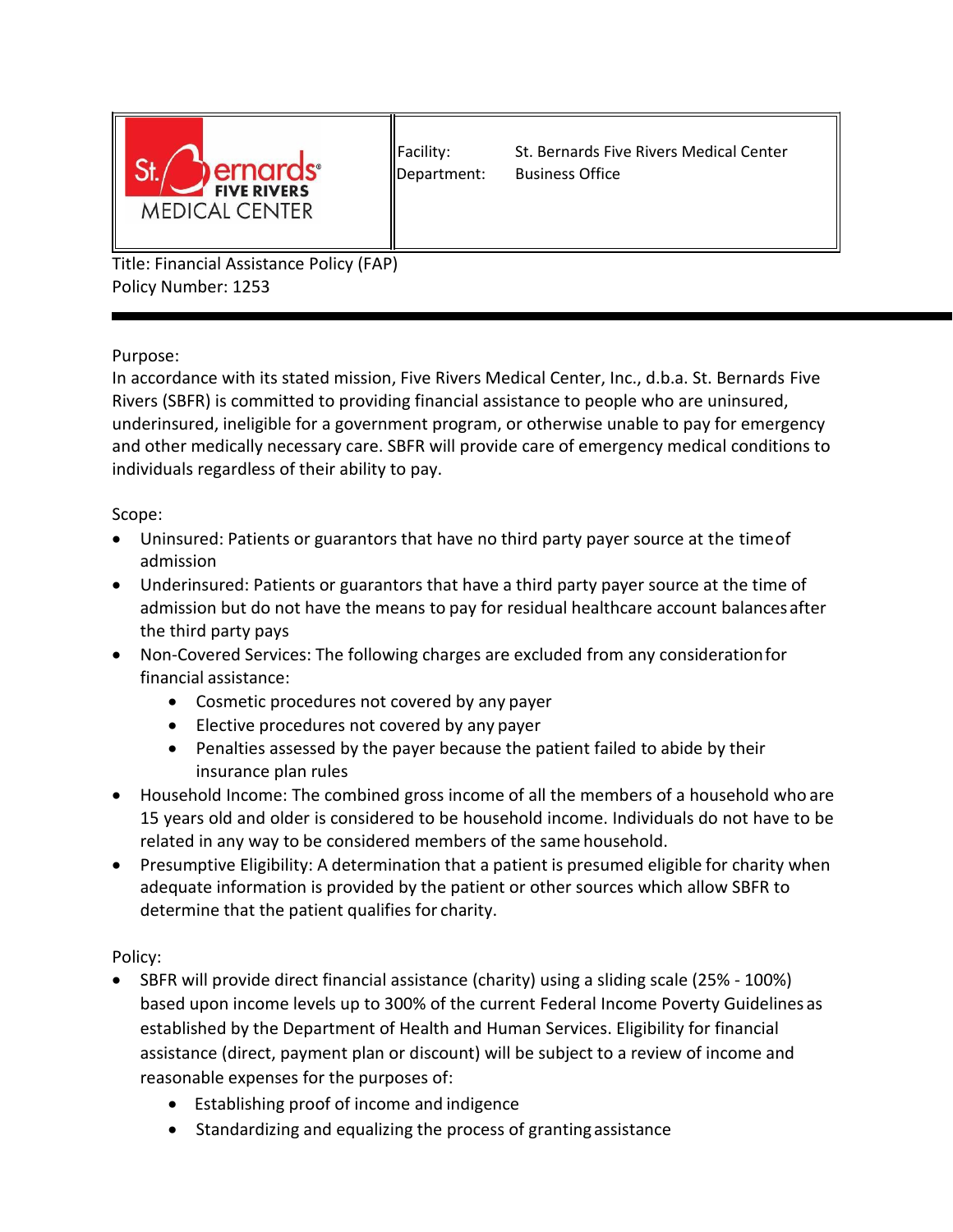

Facility: St. Bernards Five Rivers Medical Center Department: Business Office

Title: Financial Assistance Policy (FAP) Policy Number: 1253

Purpose:

In accordance with its stated mission, Five Rivers Medical Center, Inc., d.b.a. St. Bernards Five Rivers (SBFR) is committed to providing financial assistance to people who are uninsured, underinsured, ineligible for a government program, or otherwise unable to pay for emergency and other medically necessary care. SBFR will provide care of emergency medical conditions to individuals regardless of their ability to pay.

## Scope:

- Uninsured: Patients or guarantors that have no third party payer source at the timeof admission
- Underinsured: Patients or guarantors that have a third party payer source at the time of admission but do not have the means to pay for residual healthcare account balancesafter the third party pays
- Non-Covered Services: The following charges are excluded from any considerationfor financial assistance:
	- Cosmetic procedures not covered by any payer
	- Elective procedures not covered by any payer
	- Penalties assessed by the payer because the patient failed to abide by their insurance plan rules
- Household Income: The combined gross income of all the members of a household who are 15 years old and older is considered to be household income. Individuals do not have to be related in any way to be considered members of the same household.
- Presumptive Eligibility: A determination that a patient is presumed eligible for charity when adequate information is provided by the patient or other sources which allow SBFR to determine that the patient qualifies for charity.

Policy:

- SBFR will provide direct financial assistance (charity) using a sliding scale (25% 100%) based upon income levels up to 300% of the current Federal Income Poverty Guidelines as established by the Department of Health and Human Services. Eligibility for financial assistance (direct, payment plan or discount) will be subject to a review of income and reasonable expenses for the purposes of:
	- Establishing proof of income and indigence
	- Standardizing and equalizing the process of granting assistance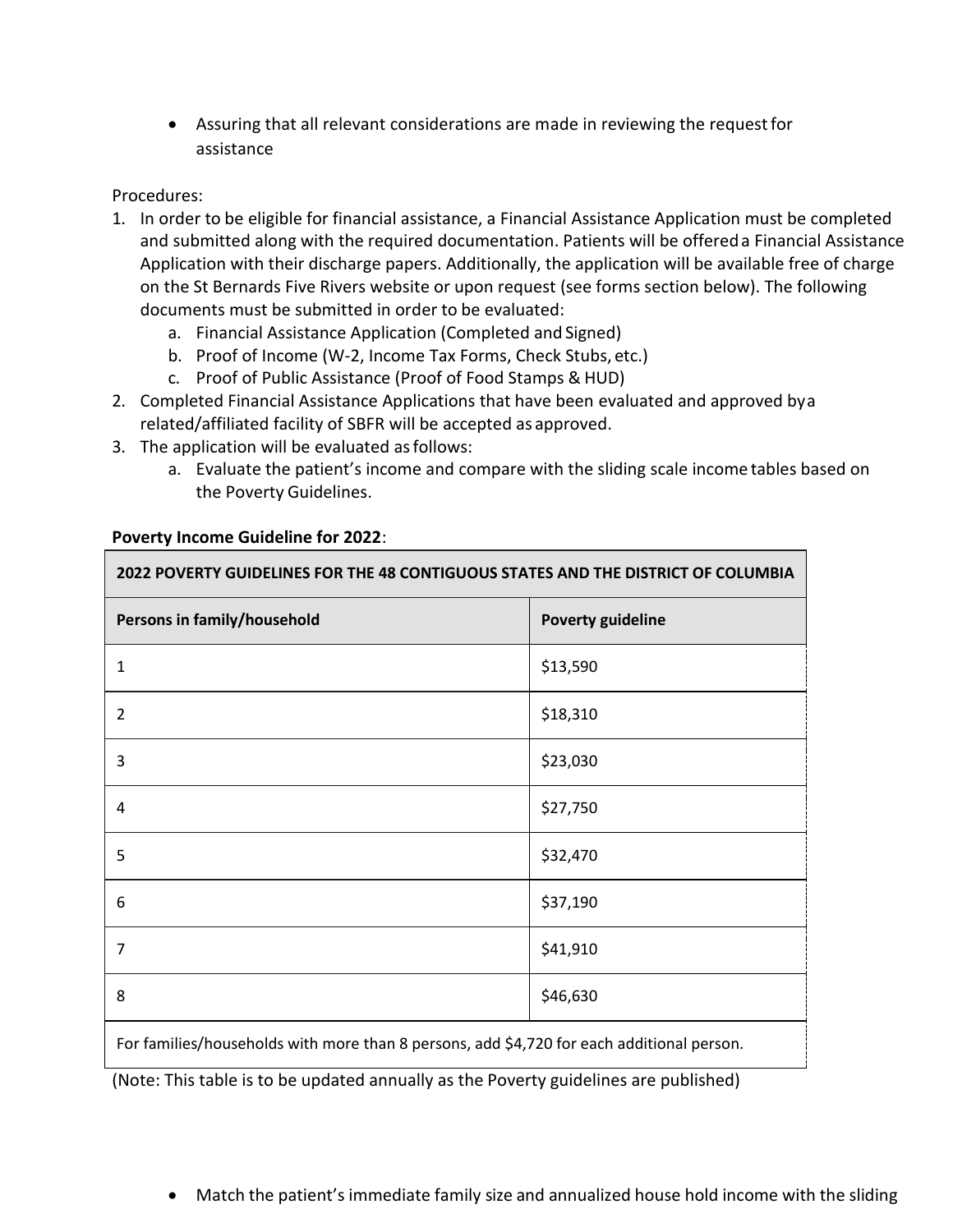Assuring that all relevant considerations are made in reviewing the requestfor assistance

## Procedures:

- 1. In order to be eligible for financial assistance, a Financial Assistance Application must be completed and submitted along with the required documentation. Patients will be offereda Financial Assistance Application with their discharge papers. Additionally, the application will be available free of charge on the St Bernards Five Rivers website or upon request (see forms section below). The following documents must be submitted in order to be evaluated:
	- a. Financial Assistance Application (Completed and Signed)
	- b. Proof of Income (W-2, Income Tax Forms, Check Stubs, etc.)
	- c. Proof of Public Assistance (Proof of Food Stamps & HUD)
- 2. Completed Financial Assistance Applications that have been evaluated and approved bya related/affiliated facility of SBFR will be accepted as approved.
- 3. The application will be evaluated asfollows:
	- a. Evaluate the patient's income and compare with the sliding scale income tables based on the Poverty Guidelines.

| 2022 POVERTY GUIDELINES FOR THE 48 CONTIGUOUS STATES AND THE DISTRICT OF COLUMBIA         |                          |
|-------------------------------------------------------------------------------------------|--------------------------|
| Persons in family/household                                                               | <b>Poverty guideline</b> |
| $\mathbf{1}$                                                                              | \$13,590                 |
| $\overline{2}$                                                                            | \$18,310                 |
| 3                                                                                         | \$23,030                 |
| 4                                                                                         | \$27,750                 |
| 5                                                                                         | \$32,470                 |
| 6                                                                                         | \$37,190                 |
| 7                                                                                         | \$41,910                 |
| 8                                                                                         | \$46,630                 |
| For families/households with more than 8 persons, add \$4,720 for each additional person. |                          |

## **Poverty Income Guideline for 2022**:

(Note: This table is to be updated annually as the Poverty guidelines are published)

Match the patient's immediate family size and annualized house hold income with the sliding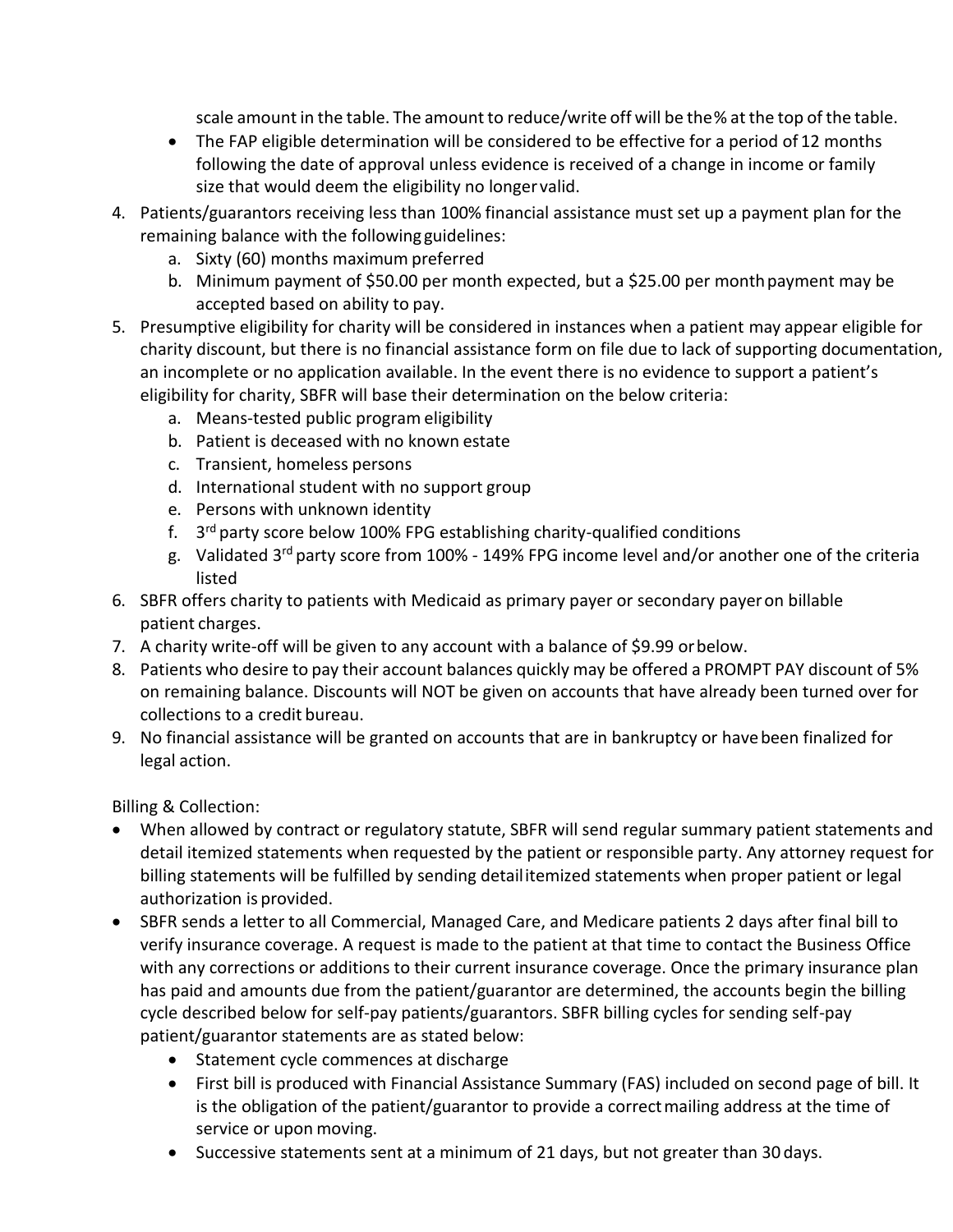scale amount in the table. The amount to reduce/write off will be the% at the top of the table.

- The FAP eligible determination will be considered to be effective for a period of 12 months following the date of approval unless evidence is received of a change in income or family size that would deem the eligibility no longer valid.
- 4. Patients/guarantors receiving less than 100% financial assistance must set up a payment plan for the remaining balance with the following guidelines:
	- a. Sixty (60) months maximum preferred
	- b. Minimum payment of \$50.00 per month expected, but a \$25.00 per monthpayment may be accepted based on ability to pay.
- 5. Presumptive eligibility for charity will be considered in instances when a patient may appear eligible for charity discount, but there is no financial assistance form on file due to lack of supporting documentation, an incomplete or no application available. In the event there is no evidence to support a patient's eligibility for charity, SBFR will base their determination on the below criteria:
	- a. Means-tested public program eligibility
	- b. Patient is deceased with no known estate
	- c. Transient, homeless persons
	- d. International student with no support group
	- e. Persons with unknown identity
	- f. 3<sup>rd</sup> party score below 100% FPG establishing charity-qualified conditions
	- g. Validated 3<sup>rd</sup> party score from 100% 149% FPG income level and/or another one of the criteria listed
- 6. SBFR offers charity to patients with Medicaid as primary payer or secondary payeron billable patient charges.
- 7. A charity write-off will be given to any account with a balance of \$9.99 orbelow.
- 8. Patients who desire to pay their account balances quickly may be offered a PROMPT PAY discount of 5% on remaining balance. Discounts will NOT be given on accounts that have already been turned over for collections to a credit bureau.
- 9. No financial assistance will be granted on accounts that are in bankruptcy or havebeen finalized for legal action.

Billing & Collection:

- When allowed by contract or regulatory statute, SBFR will send regular summary patient statements and detail itemized statements when requested by the patient or responsible party. Any attorney request for billing statements will be fulfilled by sending detailitemized statements when proper patient or legal authorization is provided.
- SBFR sends a letter to all Commercial, Managed Care, and Medicare patients 2 days after final bill to verify insurance coverage. A request is made to the patient at that time to contact the Business Office with any corrections or additions to their current insurance coverage. Once the primary insurance plan has paid and amounts due from the patient/guarantor are determined, the accounts begin the billing cycle described below for self-pay patients/guarantors. SBFR billing cycles for sending self-pay patient/guarantor statements are as stated below:
	- Statement cycle commences at discharge
	- First bill is produced with Financial Assistance Summary (FAS) included on second page of bill. It is the obligation of the patient/guarantor to provide a correctmailing address at the time of service or upon moving.
	- Successive statements sent at a minimum of 21 days, but not greater than 30 days.